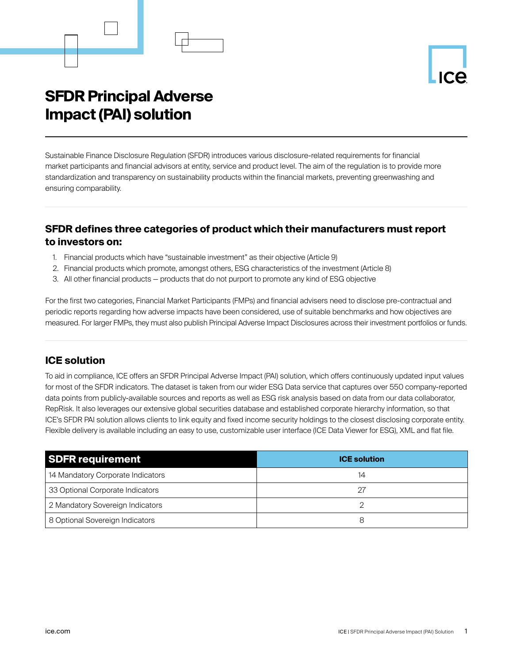# **SFDR Principal Adverse Impact (PAI) solution**

Sustainable Finance Disclosure Regulation (SFDR) introduces various disclosure-related requirements for financial market participants and financial advisors at entity, service and product level. The aim of the regulation is to provide more standardization and transparency on sustainability products within the financial markets, preventing greenwashing and ensuring comparability.

## **SFDR defines three categories of product which their manufacturers must report to investors on:**

- 1. Financial products which have "sustainable investment" as their objective (Article 9)
- 2. Financial products which promote, amongst others, ESG characteristics of the investment (Article 8)
- 3. All other financial products products that do not purport to promote any kind of ESG objective

For the first two categories, Financial Market Participants (FMPs) and financial advisers need to disclose pre-contractual and periodic reports regarding how adverse impacts have been considered, use of suitable benchmarks and how objectives are measured. For larger FMPs, they must also publish Principal Adverse Impact Disclosures across their investment portfolios or funds.

### **ICE solution**

To aid in compliance, ICE offers an SFDR Principal Adverse Impact (PAI) solution, which offers continuously updated input values for most of the SFDR indicators. The dataset is taken from our wider ESG Data service that captures over 550 company-reported data points from publicly-available sources and reports as well as ESG risk analysis based on data from our data collaborator, RepRisk. It also leverages our extensive global securities database and established corporate hierarchy information, so that ICE's SFDR PAI solution allows clients to link equity and fixed income security holdings to the closest disclosing corporate entity. Flexible delivery is available including an easy to use, customizable user interface (ICE Data Viewer for ESG), XML and flat file.

| <b>SDFR requirement</b>           | <b>ICE solution</b> |
|-----------------------------------|---------------------|
| 14 Mandatory Corporate Indicators | 14                  |
| 33 Optional Corporate Indicators  | 27                  |
| 2 Mandatory Sovereign Indicators  |                     |
| 8 Optional Sovereign Indicators   | 8                   |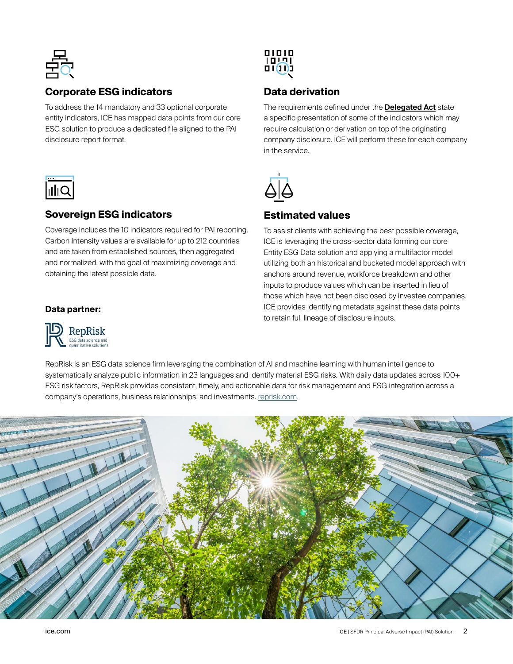

## **Corporate ESG indicators**

To address the 14 mandatory and 33 optional corporate entity indicators, ICE has mapped data points from our core ESG solution to produce a dedicated file aligned to the PAI disclosure report format.



## **Sovereign ESG indicators**

Coverage includes the 10 indicators required for PAI reporting. Carbon Intensity values are available for up to 212 countries and are taken from established sources, then aggregated and normalized, with the goal of maximizing coverage and obtaining the latest possible data.

#### **Data partner:**





## **Data derivation**

The requirements defined under the **[Delegated Act](https://ec.europa.eu/finance/docs/level-2-measures/C_2022_1931_1_EN_ACT_part1_v6 (1).pdf)** state a specific presentation of some of the indicators which may require calculation or derivation on top of the originating company disclosure. ICE will perform these for each company in the service.



#### **Estimated values**

To assist clients with achieving the best possible coverage, ICE is leveraging the cross-sector data forming our core Entity ESG Data solution and applying a multifactor model utilizing both an historical and bucketed model approach with anchors around revenue, workforce breakdown and other inputs to produce values which can be inserted in lieu of those which have not been disclosed by investee companies. ICE provides identifying metadata against these data points to retain full lineage of disclosure inputs.

RepRisk is an ESG data science firm leveraging the combination of AI and machine learning with human intelligence to systematically analyze public information in 23 languages and identify material ESG risks. With daily data updates across 100+ ESG risk factors, RepRisk provides consistent, timely, and actionable data for risk management and ESG integration across a company's operations, business relationships, and investments. [reprisk.com.](http://www.reprisk.com)